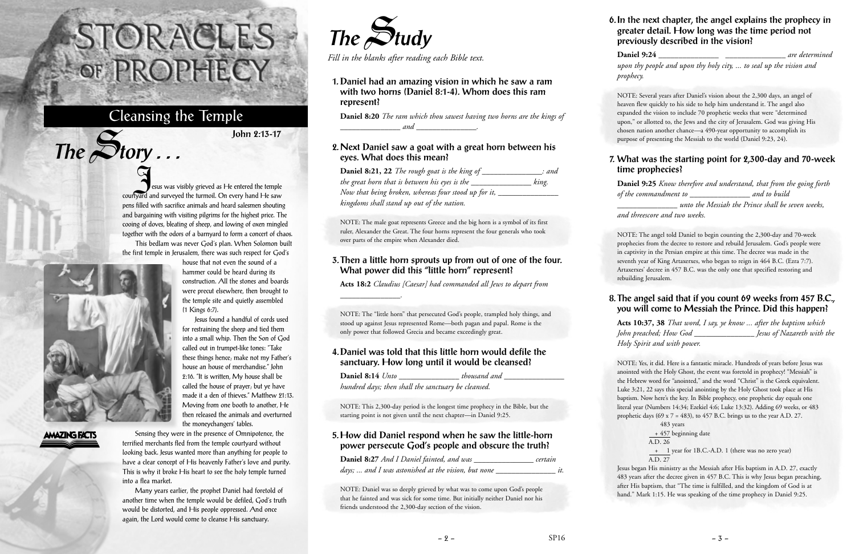Jesus was visibly grieved as He entered the temple courtyard and surveyed the turmoil. On every hand He saw pens filled with sacrifice animals and heard salesmen shouting and bargaining with visiting pilgrims for the highest price. The cooing of doves, bleating of sheep, and lowing of oxen mingled together with the odors of a barnyard to form a concert of chaos.

This bedlam was never God's plan. When Solomon built the first temple in Jerusalem, there was such respect for God's house that not even the sound of a

Jesus found a handful of cords used



 $The$  $S$ **tory** ...

# **AMAZING FACTS**

Sensing they were in the presence of Omnipotence, the terrified merchants fled from the temple courtyard without looking back. Jesus wanted more than anything for people to have a clear concept of His heavenly Father's love and purity. This is why it broke His heart to see the holy temple turned into a flea market.

Many years earlier, the prophet Daniel had foretold of another time when the temple would be defiled, God's truth would be distorted, and His people oppressed. And once again, the Lord would come to cleanse His sanctuary.

# STORACLES -OF PROPHECY

# Cleansing the Temple

**John 2:13-17**



*Fill in the blanks after reading each Bible text.*

# **1. Daniel had an amazing vision in which he saw a ram with two horns (Daniel 8:1-4). Whom does this ram represent?**

**Daniel 8:20** *The ram which thou sawest having two horns are the kings of \_\_\_\_\_\_\_\_\_\_\_\_\_\_\_ and \_\_\_\_\_\_\_\_\_\_\_\_\_\_\_.*

### **2. Next Daniel saw a goat with a great horn between his eyes. What does this mean?**

**Daniel 8:21, 22** *The rough goat is the king of \_\_\_\_\_\_\_\_\_\_\_\_\_\_\_: and the great horn that is between his eyes is the \_\_\_\_\_\_\_\_\_\_\_\_\_\_\_ king. Now that being broken, whereas four stood up for it, \_\_\_\_\_\_\_\_\_\_\_\_\_\_\_ kingdoms shall stand up out of the nation.*

NOTE: The male goat represents Greece and the big horn is a symbol of its first ruler, Alexander the Great. The four horns represent the four generals who took over parts of the empire when Alexander died.

#### **3. Then a little horn sprouts up from out of one of the four. What power did this "little horn" represent?**

**Acts 18:2** *Claudius [Caesar] had commanded all Jews to depart from*

NOTE: Yes, it did. Here is a fantastic miracle. Hundreds of years before Jesus was anointed with the Holy Ghost, the event was foretold in prophecy! "Messiah" is the Hebrew word for "anointed," and the word "Christ" is the Greek equivalent. Luke 3:21, 22 says this special anointing by the Holy Ghost took place at His baptism. Now here's the key. In Bible prophecy, one prophetic day equals one literal year (Numbers 14:34; Ezekiel 4:6; Luke 13:32). Adding 69 weeks, or 483 prophetic days (69  $x$  7 = 483), to 457 B.C. brings us to the year A.D. 27.

*\_\_\_\_\_\_\_\_\_\_\_\_\_\_\_.*

NOTE: The "little horn" that persecuted God's people, trampled holy things, and stood up against Jesus represented Rome—both pagan and papal. Rome is the only power that followed Grecia and became exceedingly great.

## **4. Daniel was told that this little horn would defile the sanctuary. How long until it would be cleansed?**

| Daniel 8:14 Unto                                    | thousand and |  |
|-----------------------------------------------------|--------------|--|
| hundred days; then shall the sanctuary be cleansed. |              |  |

NOTE: This 2,300-day period is the longest time prophecy in the Bible, but the starting point is not given until the next chapter—in Daniel 9:25.

## **5. How did Daniel respond when he saw the little-horn power persecute God's people and obscure the truth?**

| Daniel 8:27 And I Daniel fainted, and was           | certain |
|-----------------------------------------------------|---------|
| days;  and I was astonished at the vision, but none | ıt.     |

NOTE: Daniel was so deeply grieved by what was to come upon God's people that he fainted and was sick for some time. But initially neither Daniel nor his friends understood the 2,300-day section of the vision.

#### **6. In the next chapter, the angel explains the prophecy in greater detail. How long was the time period not previously described in the vision?**

**Daniel 9:24** *are determined* 

*upon thy people and upon thy holy city, ... to seal up the vision and prophecy.*

NOTE: Several years after Daniel's vision about the 2,300 days, an angel of heaven flew quickly to his side to help him understand it. The angel also expanded the vision to include 70 prophetic weeks that were "determined upon," or allotted to, the Jews and the city of Jerusalem. God was giving His chosen nation another chance—a 490-year opportunity to accomplish its purpose of presenting the Messiah to the world (Daniel 9:23, 24).

### **7. What was the starting point for 2,300-day and 70-week time prophecies?**

**Daniel 9:25** *Know therefore and understand, that from the going forth of the commandment to \_\_\_\_\_\_\_\_\_\_\_\_\_\_\_ and to build*

*\_\_\_\_\_\_\_\_\_\_\_\_\_\_\_ unto the Messiah the Prince shall be seven weeks, and threescore and two weeks.*

NOTE: The angel told Daniel to begin counting the 2,300-day and 70-week prophecies from the decree to restore and rebuild Jerusalem. God's people were in captivity in the Persian empire at this time. The decree was made in the seventh year of King Artaxerxes, who began to reign in 464 B.C. (Ezra 7:7). Artaxerxes' decree in 457 B.C. was the only one that specified restoring and rebuilding Jerusalem.

## **8. The angel said that if you count 69 weeks from 457 B.C., you will come to Messiah the Prince. Did this happen?**

**Acts 10:37, 38** *That word, I say, ye know ... after the baptism which John preached; How God \_\_\_\_\_\_\_\_\_\_\_\_\_\_\_ Jesus of Nazareth with the Holy Spirit and with power.*

> 483 years + 457 beginning date A.D. 26 + 1 year for 1B.C.-A.D. 1 (there was no zero year) A.D. 27

Jesus began His ministry as the Messiah after His baptism in A.D. 27, exactly 483 years after the decree given in 457 B.C. This is why Jesus began preaching, after His baptism, that "The time is fulfilled, and the kingdom of God is at hand." Mark 1:15. He was speaking of the time prophecy in Daniel 9:25.